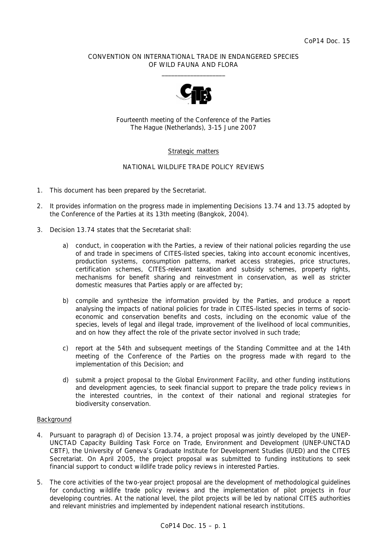## CONVENTION ON INTERNATIONAL TRADE IN ENDANGERED SPECIES OF WILD FAUNA AND FLORA  $\frac{1}{2}$  , and the set of the set of the set of the set of the set of the set of the set of the set of the set of the set of the set of the set of the set of the set of the set of the set of the set of the set of the set



Fourteenth meeting of the Conference of the Parties The Hague (Netherlands), 3-15 June 2007

# Strategic matters

# NATIONAL WILDLIFE TRADE POLICY REVIEWS

- 1. This document has been prepared by the Secretariat.
- 2. It provides information on the progress made in implementing Decisions 13.74 and 13.75 adopted by the Conference of the Parties at its 13th meeting (Bangkok, 2004).
- 3. Decision 13.74 states that the Secretariat shall:
	- *a) conduct, in cooperation with the Parties, a review of their national policies regarding the use of and trade in specimens of CITES-listed species, taking into account economic incentives, production systems, consumption patterns, market access strategies, price structures, certification schemes, CITES-relevant taxation and subsidy schemes, property rights, mechanisms for benefit sharing and reinvestment in conservation, as well as stricter domestic measures that Parties apply or are affected by;*
	- *b) compile and synthesize the information provided by the Parties, and produce a report analysing the impacts of national policies for trade in CITES-listed species in terms of socioeconomic and conservation benefits and costs, including on the economic value of the species, levels of legal and illegal trade, improvement of the livelihood of local communities, and on how they affect the role of the private sector involved in such trade;*
	- *c) report at the 54th and subsequent meetings of the Standing Committee and at the 14th meeting of the Conference of the Parties on the progress made with regard to the implementation of this Decision; and*
	- *d) submit a project proposal to the Global Environment Facility, and other funding institutions and development agencies, to seek financial support to prepare the trade policy reviews in the interested countries, in the context of their national and regional strategies for biodiversity conservation.*

### Background

- 4. Pursuant to paragraph d) of Decision 13.74, a project proposal was jointly developed by the UNEP-UNCTAD Capacity Building Task Force on Trade, Environment and Development (UNEP-UNCTAD CBTF), the University of Geneva's Graduate Institute for Development Studies (IUED) and the CITES Secretariat. On April 2005, the project proposal was submitted to funding institutions to seek financial support to conduct wildlife trade policy reviews in interested Parties.
- 5. The core activities of the two-year project proposal are the development of methodological guidelines for conducting wildlife trade policy reviews and the implementation of pilot projects in four developing countries. At the national level, the pilot projects will be led by national CITES authorities and relevant ministries and implemented by independent national research institutions.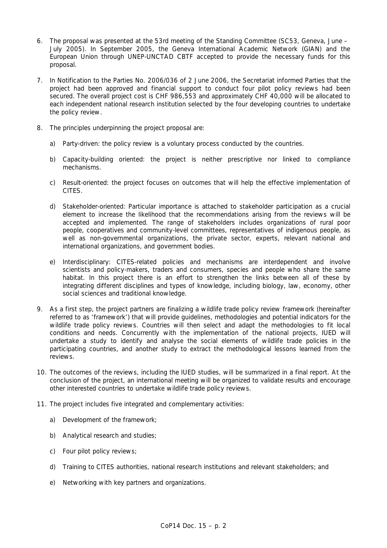- 6. The proposal was presented at the 53rd meeting of the Standing Committee (SC53, Geneva, June July 2005). In September 2005, the Geneva International Academic Network (GIAN) and the European Union through UNEP-UNCTAD CBTF accepted to provide the necessary funds for this proposal.
- 7. In Notification to the Parties No. 2006/036 of 2 June 2006, the Secretariat informed Parties that the project had been approved and financial support to conduct four pilot policy reviews had been secured. The overall project cost is CHF 986,553 and approximately CHF 40,000 will be allocated to each independent national research institution selected by the four developing countries to undertake the policy review.
- 8. The principles underpinning the project proposal are:
	- a) Party-driven: the policy review is a voluntary process conducted by the countries.
	- b) Capacity-building oriented: the project is neither prescriptive nor linked to compliance mechanisms.
	- c) Result-oriented: the project focuses on outcomes that will help the effective implementation of CITES.
	- d) Stakeholder-oriented: Particular importance is attached to stakeholder participation as a crucial element to increase the likelihood that the recommendations arising from the reviews will be accepted and implemented. The range of stakeholders includes organizations of rural poor people, cooperatives and community-level committees, representatives of indigenous people, as well as non-governmental organizations, the private sector, experts, relevant national and international organizations, and government bodies.
	- e) Interdisciplinary: CITES-related policies and mechanisms are interdependent and involve scientists and policy-makers, traders and consumers, species and people who share the same habitat. In this project there is an effort to strengthen the links between all of these by integrating different disciplines and types of knowledge, including biology, law, economy, other social sciences and traditional knowledge.
- 9. As a first step, the project partners are finalizing a wildlife trade policy review framework (hereinafter referred to as 'framework') that will provide guidelines, methodologies and potential indicators for the wildlife trade policy reviews. Countries will then select and adapt the methodologies to fit local conditions and needs. Concurrently with the implementation of the national projects, IUED will undertake a study to identify and analyse the social elements of wildlife trade policies in the participating countries, and another study to extract the methodological lessons learned from the reviews.
- 10. The outcomes of the reviews, including the IUED studies, will be summarized in a final report. At the conclusion of the project, an international meeting will be organized to validate results and encourage other interested countries to undertake wildlife trade policy reviews.
- 11. The project includes five integrated and complementary activities:
	- a) Development of the framework;
	- b) Analytical research and studies;
	- c) Four pilot policy reviews;
	- d) Training to CITES authorities, national research institutions and relevant stakeholders; and
	- e) Networking with key partners and organizations.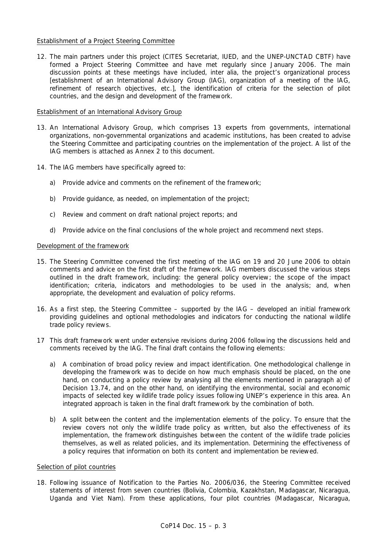## Establishment of a Project Steering Committee

12. The main partners under this project (CITES Secretariat, IUED, and the UNEP-UNCTAD CBTF) have formed a Project Steering Committee and have met regularly since January 2006. The main discussion points at these meetings have included, *inter alia*, the project's organizational process [establishment of an International Advisory Group (IAG), organization of a meeting of the IAG, refinement of research objectives, etc.], the identification of criteria for the selection of pilot countries, and the design and development of the framework.

## Establishment of an International Advisory Group

- 13. An International Advisory Group, which comprises 13 experts from governments, international organizations, non-governmental organizations and academic institutions, has been created to advise the Steering Committee and participating countries on the implementation of the project. A list of the IAG members is attached as Annex 2 to this document.
- 14. The IAG members have specifically agreed to:
	- a) Provide advice and comments on the refinement of the framework;
	- b) Provide guidance, as needed, on implementation of the project;
	- c) Review and comment on draft national project reports; and
	- d) Provide advice on the final conclusions of the whole project and recommend next steps.

## Development of the framework

- 15. The Steering Committee convened the first meeting of the IAG on 19 and 20 June 2006 to obtain comments and advice on the first draft of the framework. IAG members discussed the various steps outlined in the draft framework, including: the general policy overview; the scope of the impact identification; criteria, indicators and methodologies to be used in the analysis; and, when appropriate, the development and evaluation of policy reforms.
- 16. As a first step, the Steering Committee supported by the IAG developed an initial framework providing guidelines and optional methodologies and indicators for conducting the national wildlife trade policy reviews.
- 17 This draft framework went under extensive revisions during 2006 following the discussions held and comments received by the IAG. The final draft contains the following elements:
	- a) A combination of broad policy review and impact identification. One methodological challenge in developing the framework was to decide on how much emphasis should be placed, on the one hand, on conducting a policy review by analysing all the elements mentioned in paragraph a) of Decision 13.74, and on the other hand, on identifying the environmental, social and economic impacts of selected key wildlife trade policy issues following UNEP's experience in this area. An integrated approach is taken in the final draft framework by the combination of both.
	- b) A split between the content and the implementation elements of the policy. To ensure that the review covers not only the wildlife trade policy as written, but also the effectiveness of its implementation, the framework distinguishes between the content of the wildlife trade policies themselves, as well as related policies, and its implementation. Determining the effectiveness of a policy requires that information on both its content and implementation be reviewed.

# Selection of pilot countries

18. Following issuance of Notification to the Parties No. 2006/036, the Steering Committee received statements of interest from seven countries (Bolivia, Colombia, Kazakhstan, Madagascar, Nicaragua, Uganda and Viet Nam). From these applications, four pilot countries (Madagascar, Nicaragua,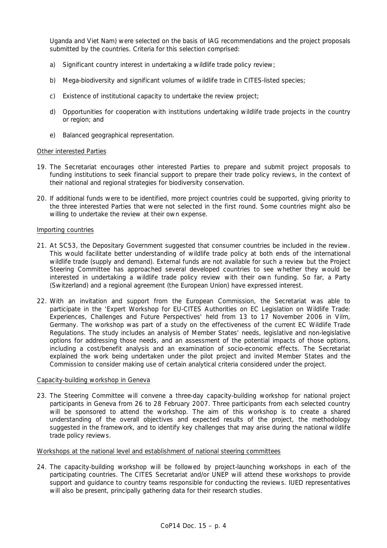Uganda and Viet Nam) were selected on the basis of IAG recommendations and the project proposals submitted by the countries. Criteria for this selection comprised:

- a) Significant country interest in undertaking a wildlife trade policy review;
- b) Mega-biodiversity and significant volumes of wildlife trade in CITES-listed species;
- c) Existence of institutional capacity to undertake the review project;
- d) Opportunities for cooperation with institutions undertaking wildlife trade projects in the country or region; and
- e) Balanced geographical representation.

### Other interested Parties

- 19. The Secretariat encourages other interested Parties to prepare and submit project proposals to funding institutions to seek financial support to prepare their trade policy reviews, in the context of their national and regional strategies for biodiversity conservation.
- 20. If additional funds were to be identified, more project countries could be supported, giving priority to the three interested Parties that were not selected in the first round. Some countries might also be willing to undertake the review at their own expense.

### Importing countries

- 21. At SC53, the Depositary Government suggested that consumer countries be included in the review. This would facilitate better understanding of wildlife trade policy at both ends of the international wildlife trade (supply and demand). External funds are not available for such a review but the Project Steering Committee has approached several developed countries to see whether they would be interested in undertaking a wildlife trade policy review with their own funding. So far, a Party (Switzerland) and a regional agreement (the European Union) have expressed interest.
- 22. With an invitation and support from the European Commission, the Secretariat was able to participate in the 'Expert Workshop for EU-CITES Authorities on EC Legislation on Wildlife Trade: Experiences, Challenges and Future Perspectives' held from 13 to 17 November 2006 in Vilm, Germany. The workshop was part of a study on the effectiveness of the current EC Wildlife Trade Regulations. The study includes an analysis of Member States' needs, legislative and non-legislative options for addressing those needs, and an assessment of the potential impacts of those options, including a cost/benefit analysis and an examination of socio-economic effects. The Secretariat explained the work being undertaken under the pilot project and invited Member States and the Commission to consider making use of certain analytical criteria considered under the project.

## Capacity-building workshop in Geneva

23. The Steering Committee will convene a three-day capacity-building workshop for national project participants in Geneva from 26 to 28 February 2007. Three participants from each selected country will be sponsored to attend the workshop. The aim of this workshop is to create a shared understanding of the overall objectives and expected results of the project, the methodology suggested in the framework, and to identify key challenges that may arise during the national wildlife trade policy reviews.

### Workshops at the national level and establishment of national steering committees

24. The capacity-building workshop will be followed by project-launching workshops in each of the participating countries. The CITES Secretariat and/or UNEP will attend these workshops to provide support and guidance to country teams responsible for conducting the reviews. IUED representatives will also be present, principally gathering data for their research studies.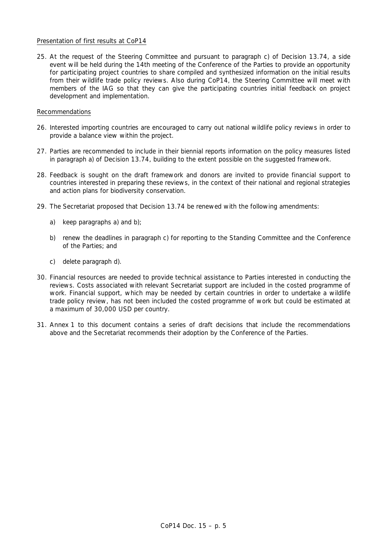## Presentation of first results at CoP14

25. At the request of the Steering Committee and pursuant to paragraph c) of Decision 13.74, a side event will be held during the 14th meeting of the Conference of the Parties to provide an opportunity for participating project countries to share compiled and synthesized information on the initial results from their wildlife trade policy reviews. Also during CoP14, the Steering Committee will meet with members of the IAG so that they can give the participating countries initial feedback on project development and implementation.

### Recommendations

- 26. Interested importing countries are encouraged to carry out national wildlife policy reviews in order to provide a balance view within the project.
- 27. Parties are recommended to include in their biennial reports information on the policy measures listed in paragraph a) of Decision 13.74, building to the extent possible on the suggested framework.
- 28. Feedback is sought on the draft framework and donors are invited to provide financial support to countries interested in preparing these reviews, in the context of their national and regional strategies and action plans for biodiversity conservation.
- 29. The Secretariat proposed that Decision 13.74 be renewed with the following amendments:
	- a) keep paragraphs a) and b);
	- b) renew the deadlines in paragraph c) for reporting to the Standing Committee and the Conference of the Parties; and
	- c) delete paragraph d).
- 30. Financial resources are needed to provide technical assistance to Parties interested in conducting the reviews. Costs associated with relevant Secretariat support are included in the costed programme of work. Financial support, which may be needed by certain countries in order to undertake a wildlife trade policy review, has not been included the costed programme of work but could be estimated at a maximum of 30,000 USD per country.
- 31. Annex 1 to this document contains a series of draft decisions that include the recommendations above and the Secretariat recommends their adoption by the Conference of the Parties.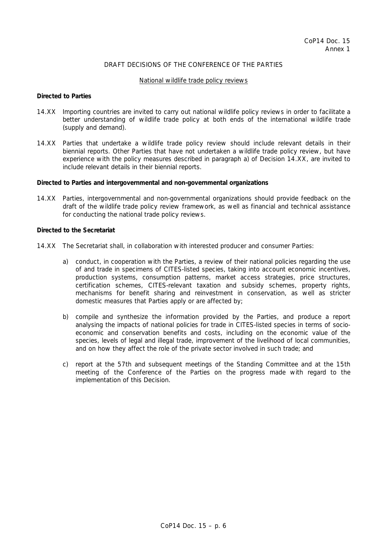# DRAFT DECISIONS OF THE CONFERENCE OF THE PARTIES

#### National wildlife trade policy reviews

#### *Directed to Parties*

- 14.XX Importing countries are invited to carry out national wildlife policy reviews in order to facilitate a better understanding of wildlife trade policy at both ends of the international wildlife trade (supply and demand).
- 14.XX Parties that undertake a wildlife trade policy review should include relevant details in their biennial reports. Other Parties that have not undertaken a wildlife trade policy review, but have experience with the policy measures described in paragraph a) of Decision 14.XX, are invited to include relevant details in their biennial reports.

#### *Directed to Parties and intergovernmental and non-governmental organizations*

14.XX Parties, intergovernmental and non-governmental organizations should provide feedback on the draft of the wildlife trade policy review framework, as well as financial and technical assistance for conducting the national trade policy reviews.

#### *Directed to the Secretariat*

- 14.XX The Secretariat shall, in collaboration with interested producer and consumer Parties:
	- a) conduct, in cooperation with the Parties, a review of their national policies regarding the use of and trade in specimens of CITES-listed species, taking into account economic incentives, production systems, consumption patterns, market access strategies, price structures, certification schemes, CITES-relevant taxation and subsidy schemes, property rights, mechanisms for benefit sharing and reinvestment in conservation, as well as stricter domestic measures that Parties apply or are affected by;
	- b) compile and synthesize the information provided by the Parties, and produce a report analysing the impacts of national policies for trade in CITES-listed species in terms of socioeconomic and conservation benefits and costs, including on the economic value of the species, levels of legal and illegal trade, improvement of the livelihood of local communities, and on how they affect the role of the private sector involved in such trade; and
	- c) report at the 57th and subsequent meetings of the Standing Committee and at the 15th meeting of the Conference of the Parties on the progress made with regard to the implementation of this Decision.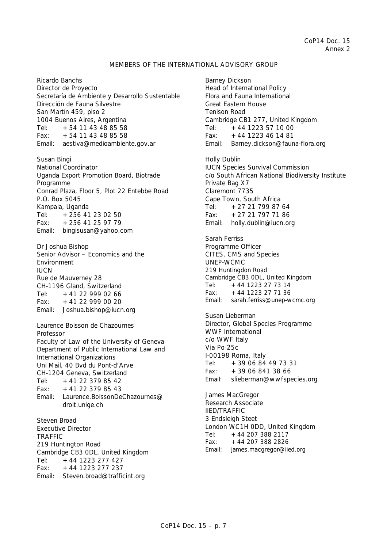# MEMBERS OF THE INTERNATIONAL ADVISORY GROUP

Ricardo Banchs Director de Proyecto Secretaría de Ambiente y Desarrollo Sustentable Dirección de Fauna Silvestre San Martín 459, piso 2 1004 Buenos Aires, Argentina Tel: +54 11 43 48 85 58  $Fax: +54 11 43 48 85 58$ Email: aestiva@medioambiente.gov.ar

Susan Bingi National Coordinator Uganda Export Promotion Board, Biotrade Programme Conrad Plaza, Floor 5, Plot 22 Entebbe Road P.O. Box 5045 Kampala, Uganda Tel:  $+25641230250$ Fax:  $+25641259779$ Email: bingisusan@yahoo.com

Dr Joshua Bishop Senior Advisor – Economics and the Environment IUCN Rue de Mauverney 28 CH-1196 Gland, Switzerland Tel:  $+41$  22 999 02 66 Fax: +41 22 999 00 20 Email: Joshua.bishop@iucn.org

Laurence Boisson de Chazournes Professor Faculty of Law of the University of Geneva Department of Public International Law and International Organizations Uni Mail, 40 Bvd du Pont-d'Arve CH-1204 Geneva, Switzerland Tel: +41 22 379 85 42 Fax:  $+41$  22 379 85 43 Email: Laurence.BoissonDeChazournes@ droit.unige.ch Steven Broad

Executive Director **TRAFFIC** 219 Huntington Road Cambridge CB3 0DL, United Kingdom Tel:  $+44$  1223 277 427  $Fax: +44 1223 277 237$ Email: Steven.broad@trafficint.org

Barney Dickson Head of International Policy Flora and Fauna International Great Eastern House Tenison Road Cambridge CB1 277, United Kingdom Tel: +44 1223 57 10 00 Fax:  $+44$  1223 46 14 81 Email: Barney.dickson@fauna-flora.org Holly Dublin IUCN Species Survival Commission c/o South African National Biodiversity Institute Private Bag X7 Claremont 7735 Cape Town, South Africa Tel:  $+27,21,799,87,64$ Fax: +27 21 797 71 86 Email: holly.dublin@iucn.org Sarah Ferriss Programme Officer CITES, CMS and Species UNEP-WCMC 219 Huntingdon Road Cambridge CB3 0DL, United Kingdom Tel:  $+44$  1223 27 73 14 Fax:  $+44$  1223 27 71 36 Email: sarah.ferriss@unep-wcmc.org Susan Lieberman Director, Global Species Programme WWF International c/o WWF Italy Via Po 25c I-00198 Roma, Italy Tel: +39 06 84 49 73 31 Fax:  $+39068413866$ Email: slieberman@wwfspecies.org James MacGregor Research Associate IIED/TRAFFIC 3 Endsleigh Steet London WC1H 0DD, United Kingdom Tel:  $+442073882117$ Fax: +44 207 388 2826 Email: james.macgregor@iied.org